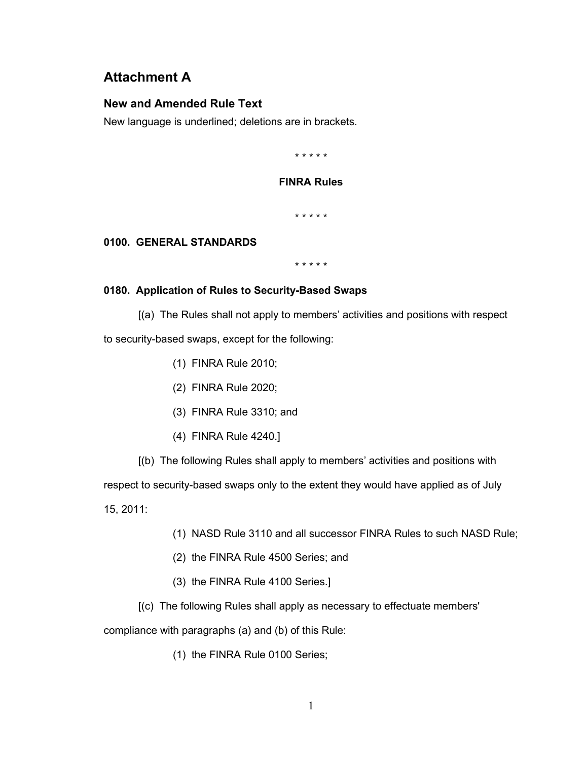# **Attachment A**

# **New and Amended Rule Text**

New language is underlined; deletions are in brackets.

\* \* \* \* \*

## **FINRA Rules**

\* \* \* \* \*

# **0100. GENERAL STANDARDS**

\* \* \* \* \*

# **0180. Application of Rules to Security-Based Swaps**

[(a) The Rules shall not apply to members' activities and positions with respect

to security-based swaps, except for the following:

- (1) FINRA Rule 2010;
- (2) FINRA Rule 2020;
- (3) FINRA Rule 3310; and
- (4) FINRA Rule 4240.]
- [(b) The following Rules shall apply to members' activities and positions with

respect to security-based swaps only to the extent they would have applied as of July

15, 2011:

- (1) NASD Rule 3110 and all successor FINRA Rules to such NASD Rule;
- (2) the FINRA Rule 4500 Series; and
- (3) the FINRA Rule 4100 Series.]
- [(c) The following Rules shall apply as necessary to effectuate members'

compliance with paragraphs (a) and (b) of this Rule:

(1) the FINRA Rule 0100 Series;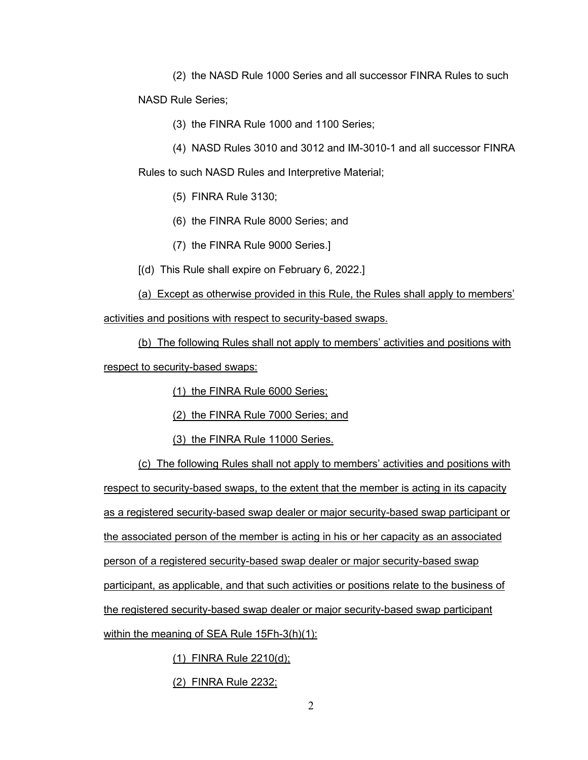(2) the NASD Rule 1000 Series and all successor FINRA Rules to such

NASD Rule Series;

- (3) the FINRA Rule 1000 and 1100 Series;
- (4) NASD Rules 3010 and 3012 and IM-3010-1 and all successor FINRA

Rules to such NASD Rules and Interpretive Material;

- (5) FINRA Rule 3130;
- (6) the FINRA Rule 8000 Series; and
- (7) the FINRA Rule 9000 Series.]
- [(d) This Rule shall expire on February 6, 2022.]

(a) Except as otherwise provided in this Rule, the Rules shall apply to members'

activities and positions with respect to security-based swaps.

(b) The following Rules shall not apply to members' activities and positions with respect to security-based swaps:

- (1) the FINRA Rule 6000 Series;
- (2) the FINRA Rule 7000 Series; and
- (3) the FINRA Rule 11000 Series.

(c) The following Rules shall not apply to members' activities and positions with respect to security-based swaps, to the extent that the member is acting in its capacity as a registered security-based swap dealer or major security-based swap participant or the associated person of the member is acting in his or her capacity as an associated person of a registered security-based swap dealer or major security-based swap participant, as applicable, and that such activities or positions relate to the business of the registered security-based swap dealer or major security-based swap participant within the meaning of SEA Rule 15Fh-3(h)(1):

(1) FINRA Rule 2210(d);

(2) FINRA Rule 2232;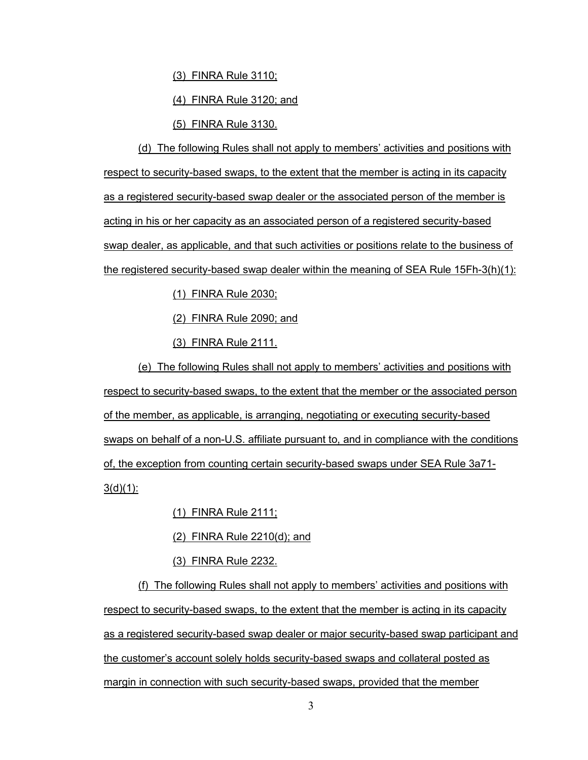(3) FINRA Rule 3110;

(4) FINRA Rule 3120; and

(5) FINRA Rule 3130.

(d) The following Rules shall not apply to members' activities and positions with respect to security-based swaps, to the extent that the member is acting in its capacity as a registered security-based swap dealer or the associated person of the member is acting in his or her capacity as an associated person of a registered security-based swap dealer, as applicable, and that such activities or positions relate to the business of the registered security-based swap dealer within the meaning of SEA Rule 15Fh-3(h)(1):

(1) FINRA Rule 2030;

(2) FINRA Rule 2090; and

(3) FINRA Rule 2111.

(e) The following Rules shall not apply to members' activities and positions with respect to security-based swaps, to the extent that the member or the associated person of the member, as applicable, is arranging, negotiating or executing security-based swaps on behalf of a non-U.S. affiliate pursuant to, and in compliance with the conditions of, the exception from counting certain security-based swaps under SEA Rule 3a71-  $3(d)(1)$ :

(1) FINRA Rule 2111;

(2) FINRA Rule 2210(d); and

(3) FINRA Rule 2232.

(f) The following Rules shall not apply to members' activities and positions with respect to security-based swaps, to the extent that the member is acting in its capacity as a registered security-based swap dealer or major security-based swap participant and the customer's account solely holds security-based swaps and collateral posted as margin in connection with such security-based swaps, provided that the member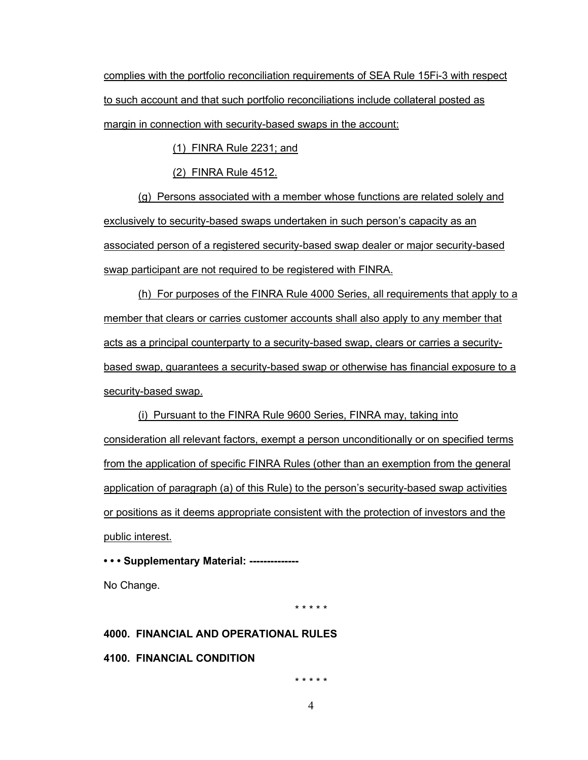complies with the portfolio reconciliation requirements of SEA Rule 15Fi-3 with respect to such account and that such portfolio reconciliations include collateral posted as margin in connection with security-based swaps in the account:

(1) FINRA Rule 2231; and

(2) FINRA Rule 4512.

(g) Persons associated with a member whose functions are related solely and exclusively to security-based swaps undertaken in such person's capacity as an associated person of a registered security-based swap dealer or major security-based swap participant are not required to be registered with FINRA.

(h) For purposes of the FINRA Rule 4000 Series, all requirements that apply to a member that clears or carries customer accounts shall also apply to any member that acts as a principal counterparty to a security-based swap, clears or carries a securitybased swap, guarantees a security-based swap or otherwise has financial exposure to a security-based swap.

(i) Pursuant to the FINRA Rule 9600 Series, FINRA may, taking into consideration all relevant factors, exempt a person unconditionally or on specified terms from the application of specific FINRA Rules (other than an exemption from the general application of paragraph (a) of this Rule) to the person's security-based swap activities or positions as it deems appropriate consistent with the protection of investors and the public interest.

**• • • Supplementary Material: --------------**

No Change.

\* \* \* \* \*

# **4000. FINANCIAL AND OPERATIONAL RULES**

**4100. FINANCIAL CONDITION**

\* \* \* \* \*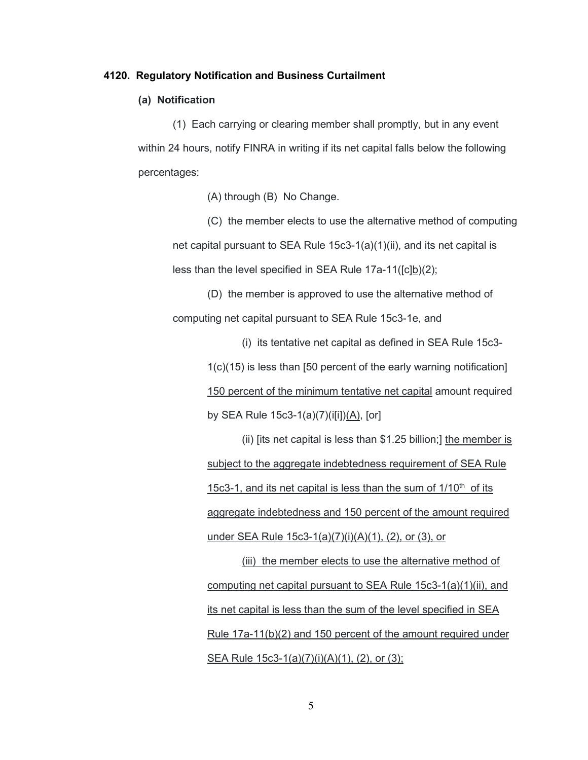#### **4120. Regulatory Notification and Business Curtailment**

## **(a) Notification**

(1) Each carrying or clearing member shall promptly, but in any event within 24 hours, notify FINRA in writing if its net capital falls below the following percentages:

(A) through (B) No Change.

(C) the member elects to use the alternative method of computing net capital pursuant to SEA Rule 15c3-1(a)(1)(ii), and its net capital is less than the level specified in SEA Rule 17a-11([c]b)(2);

(D) the member is approved to use the alternative method of computing net capital pursuant to SEA Rule 15c3-1e, and

> (i) its tentative net capital as defined in SEA Rule 15c3- 1(c)(15) is less than [50 percent of the early warning notification] 150 percent of the minimum tentative net capital amount required by SEA Rule 15c3-1(a)(7)(i[i])(A), [or]

> (ii) [its net capital is less than \$1.25 billion;] the member is subject to the aggregate indebtedness requirement of SEA Rule 15c3-1, and its net capital is less than the sum of  $1/10<sup>th</sup>$  of its aggregate indebtedness and 150 percent of the amount required under SEA Rule 15c3-1(a)(7)(i)(A)(1), (2), or (3), or

> (iii) the member elects to use the alternative method of computing net capital pursuant to SEA Rule 15c3-1(a)(1)(ii), and its net capital is less than the sum of the level specified in SEA Rule 17a-11(b)(2) and 150 percent of the amount required under SEA Rule 15c3-1(a)(7)(i)(A)(1), (2), or (3);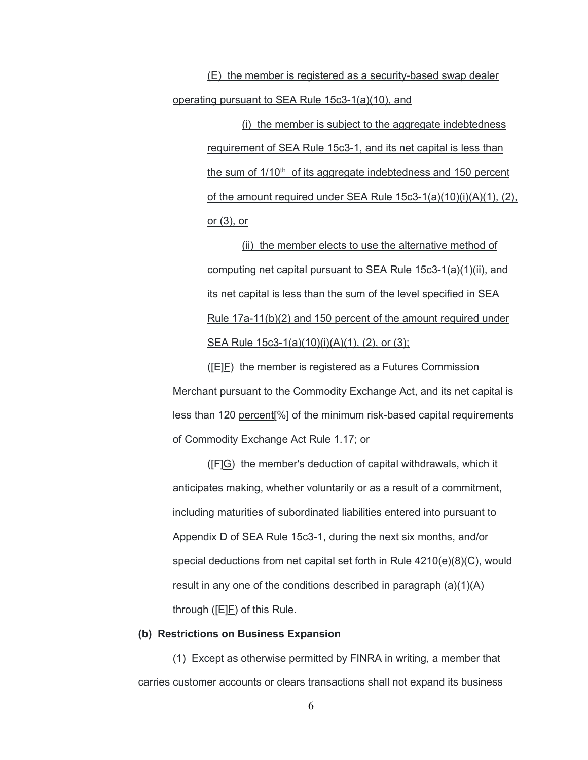(E) the member is registered as a security-based swap dealer operating pursuant to SEA Rule 15c3-1(a)(10), and

> (i) the member is subject to the aggregate indebtedness requirement of SEA Rule 15c3-1, and its net capital is less than the sum of 1/10<sup>th</sup> of its aggregate indebtedness and 150 percent of the amount required under SEA Rule 15c3-1(a)(10)(i)(A)(1), (2), or (3), or

(ii) the member elects to use the alternative method of computing net capital pursuant to SEA Rule 15c3-1(a)(1)(ii), and its net capital is less than the sum of the level specified in SEA Rule 17a-11(b)(2) and 150 percent of the amount required under SEA Rule 15c3-1(a)(10)(i)(A)(1), (2), or (3);

([E]F) the member is registered as a Futures Commission Merchant pursuant to the Commodity Exchange Act, and its net capital is less than 120 percent[%] of the minimum risk-based capital requirements of Commodity Exchange Act Rule 1.17; or

([F]G) the member's deduction of capital withdrawals, which it anticipates making, whether voluntarily or as a result of a commitment, including maturities of subordinated liabilities entered into pursuant to Appendix D of SEA Rule 15c3-1, during the next six months, and/or special deductions from net capital set forth in Rule 4210(e)(8)(C), would result in any one of the conditions described in paragraph (a)(1)(A) through ([E]F) of this Rule.

## **(b) Restrictions on Business Expansion**

(1) Except as otherwise permitted by FINRA in writing, a member that carries customer accounts or clears transactions shall not expand its business

6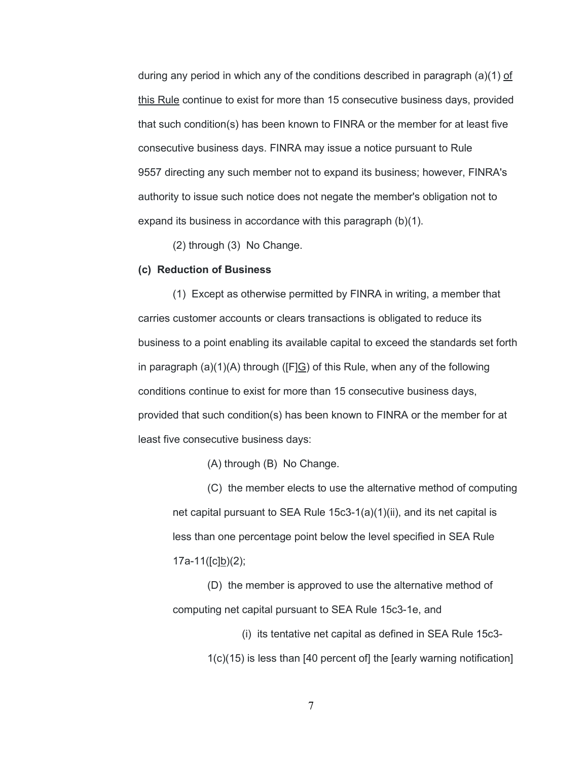during any period in which any of the conditions described in paragraph (a)(1) of this Rule continue to exist for more than 15 consecutive business days, provided that such condition(s) has been known to FINRA or the member for at least five consecutive business days. FINRA may issue a notice pursuant to Rule 9557 directing any such member not to expand its business; however, FINRA's authority to issue such notice does not negate the member's obligation not to expand its business in accordance with this paragraph (b)(1).

(2) through (3) No Change.

### **(c) Reduction of Business**

(1) Except as otherwise permitted by FINRA in writing, a member that carries customer accounts or clears transactions is obligated to reduce its business to a point enabling its available capital to exceed the standards set forth in paragraph (a)(1)(A) through ([F]G) of this Rule, when any of the following conditions continue to exist for more than 15 consecutive business days, provided that such condition(s) has been known to FINRA or the member for at least five consecutive business days:

(A) through (B) No Change.

(C) the member elects to use the alternative method of computing net capital pursuant to SEA Rule 15c3-1(a)(1)(ii), and its net capital is less than one percentage point below the level specified in SEA Rule 17a-11([c]b)(2);

(D) the member is approved to use the alternative method of computing net capital pursuant to SEA Rule 15c3-1e, and

> (i) its tentative net capital as defined in SEA Rule 15c3- 1(c)(15) is less than [40 percent of] the [early warning notification]

> > 7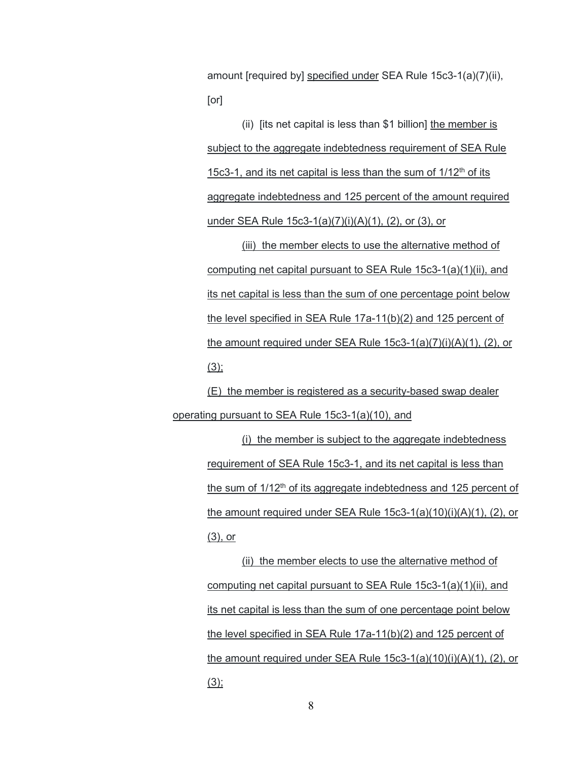amount [required by] specified under SEA Rule 15c3-1(a)(7)(ii), [or]

(ii) [its net capital is less than \$1 billion] the member is subject to the aggregate indebtedness requirement of SEA Rule 15c3-1, and its net capital is less than the sum of  $1/12<sup>th</sup>$  of its aggregate indebtedness and 125 percent of the amount required under SEA Rule 15c3-1(a)(7)(i)(A)(1), (2), or (3), or

(iii) the member elects to use the alternative method of computing net capital pursuant to SEA Rule 15c3-1(a)(1)(ii), and its net capital is less than the sum of one percentage point below the level specified in SEA Rule 17a-11(b)(2) and 125 percent of the amount required under SEA Rule 15c3-1(a)(7)(i)(A)(1), (2), or  $(3)$ ;

(E) the member is registered as a security-based swap dealer operating pursuant to SEA Rule 15c3-1(a)(10), and

> (i) the member is subject to the aggregate indebtedness requirement of SEA Rule 15c3-1, and its net capital is less than the sum of 1/12<sup>th</sup> of its aggregate indebtedness and 125 percent of the amount required under SEA Rule 15c3-1(a)(10)(i)(A)(1), (2), or (3), or

> (ii) the member elects to use the alternative method of computing net capital pursuant to SEA Rule 15c3-1(a)(1)(ii), and its net capital is less than the sum of one percentage point below the level specified in SEA Rule 17a-11(b)(2) and 125 percent of the amount required under SEA Rule 15c3-1(a)(10)(i)(A)(1), (2), or  $(3);$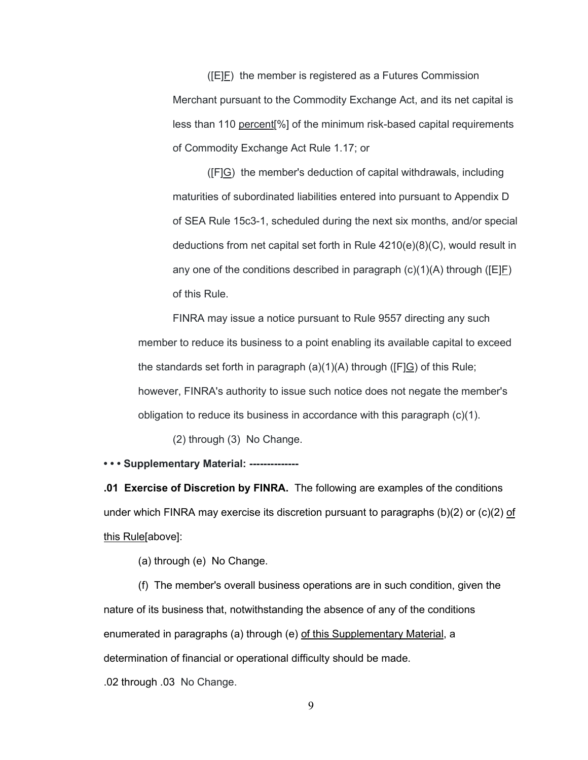([E]F) the member is registered as a Futures Commission Merchant pursuant to the Commodity Exchange Act, and its net capital is less than 110 percent[%] of the minimum risk-based capital requirements of Commodity Exchange Act Rule 1.17; or

([F]G) the member's deduction of capital withdrawals, including maturities of subordinated liabilities entered into pursuant to Appendix D of SEA Rule 15c3-1, scheduled during the next six months, and/or special deductions from net capital set forth in Rule 4210(e)(8)(C), would result in any one of the conditions described in paragraph  $(c)(1)(A)$  through ( $[EP]$ ) of this Rule.

FINRA may issue a notice pursuant to Rule 9557 directing any such member to reduce its business to a point enabling its available capital to exceed the standards set forth in paragraph  $(a)(1)(A)$  through ( $[F]G$ ) of this Rule; however, FINRA's authority to issue such notice does not negate the member's obligation to reduce its business in accordance with this paragraph  $(c)(1)$ .

(2) through (3) No Change.

**• • • Supplementary Material: --------------**

**.01 Exercise of Discretion by FINRA.** The following are examples of the conditions under which FINRA may exercise its discretion pursuant to paragraphs (b)(2) or (c)(2) of this Rule[above]:

(a) through (e) No Change.

(f) The member's overall business operations are in such condition, given the nature of its business that, notwithstanding the absence of any of the conditions enumerated in paragraphs (a) through (e) of this Supplementary Material, a determination of financial or operational difficulty should be made.

.02 through .03 No Change.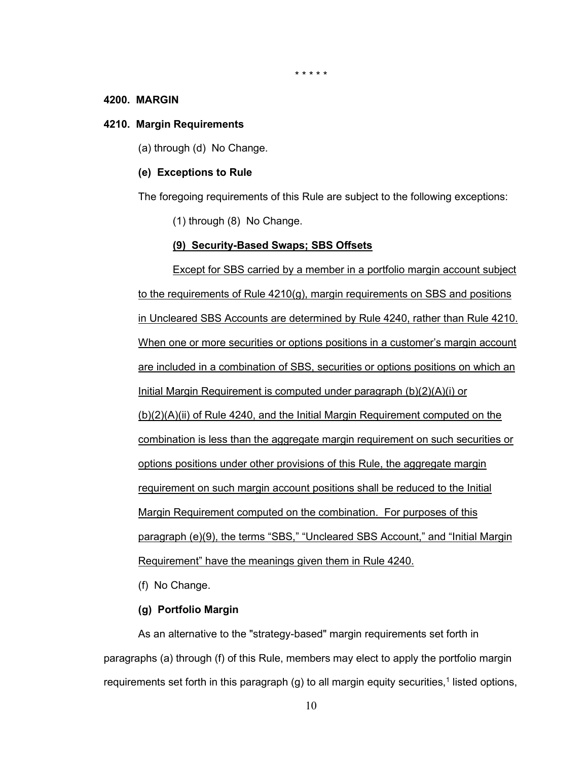\* \* \* \* \*

#### **4200. MARGIN**

#### **4210. Margin Requirements**

(a) through (d) No Change.

#### **(e) Exceptions to Rule**

The foregoing requirements of this Rule are subject to the following exceptions:

(1) through (8) No Change.

#### **(9) Security-Based Swaps; SBS Offsets**

Except for SBS carried by a member in a portfolio margin account subject to the requirements of Rule 4210(g), margin requirements on SBS and positions in Uncleared SBS Accounts are determined by Rule 4240, rather than Rule 4210. When one or more securities or options positions in a customer's margin account are included in a combination of SBS, securities or options positions on which an Initial Margin Requirement is computed under paragraph [\(b\)\(2\)\(A\)\(i\)](#page-13-0) or [\(b\)\(2\)\(A\)\(ii\)](#page-13-1) of Rule 4240, and the Initial Margin Requirement computed on the combination is less than the aggregate margin requirement on such securities or options positions under other provisions of this Rule, the aggregate margin requirement on such margin account positions shall be reduced to the Initial Margin Requirement computed on the combination. For purposes of this paragraph (e)(9), the terms "SBS," "Uncleared SBS Account," and "Initial Margin Requirement" have the meanings given them in Rule 4240.

(f) No Change.

## **(g) Portfolio Margin**

As an alternative to the "strategy-based" margin requirements set forth in paragraphs (a) through (f) of this Rule, members may elect to apply the portfolio margin requirements set forth in this paragraph  $(q)$  to all margin equity securities,<sup>1</sup> listed options,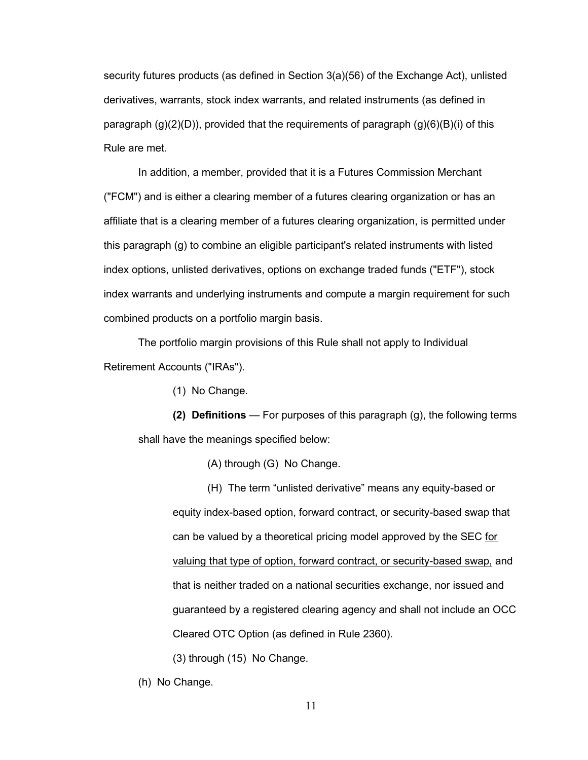security futures products (as defined in Section 3(a)(56) of the Exchange Act), unlisted derivatives, warrants, stock index warrants, and related instruments (as defined in paragraph  $(q)(2)(D)$ , provided that the requirements of paragraph  $(q)(6)(B)(i)$  of this Rule are met.

In addition, a member, provided that it is a Futures Commission Merchant ("FCM") and is either a clearing member of a futures clearing organization or has an affiliate that is a clearing member of a futures clearing organization, is permitted under this paragraph (g) to combine an eligible participant's related instruments with listed index options, unlisted derivatives, options on exchange traded funds ("ETF"), stock index warrants and underlying instruments and compute a margin requirement for such combined products on a portfolio margin basis.

The portfolio margin provisions of this Rule shall not apply to Individual Retirement Accounts ("IRAs").

(1) No Change.

**(2) Definitions** — For purposes of this paragraph (g), the following terms shall have the meanings specified below:

(A) through (G) No Change.

(H) The term "unlisted derivative" means any equity-based or equity index-based option, forward contract, or security-based swap that can be valued by a theoretical pricing model approved by the SEC for valuing that type of option, forward contract, or security-based swap, and that is neither traded on a national securities exchange, nor issued and guaranteed by a registered clearing agency and shall not include an OCC Cleared OTC Option (as defined in Rule 2360).

(3) through (15) No Change.

(h) No Change.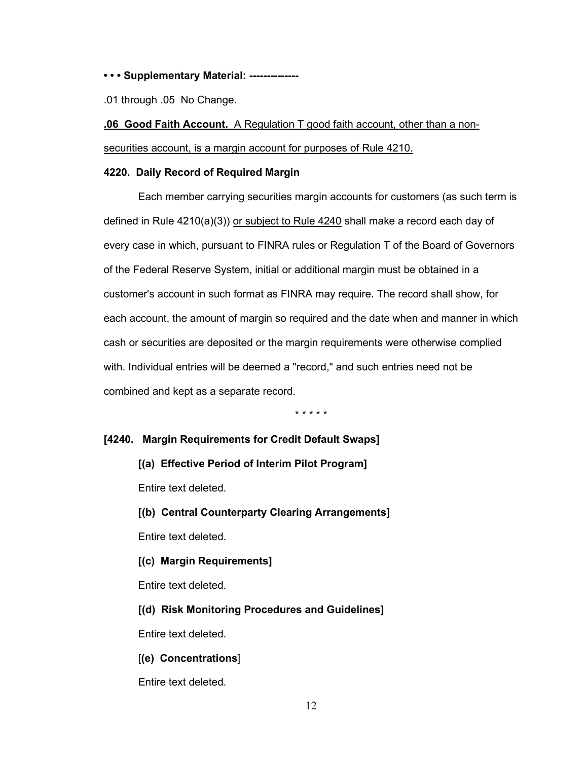**• • • Supplementary Material: --------------**

.01 through .05 No Change.

**.06 Good Faith Account.** A Regulation T good faith account, other than a nonsecurities account, is a margin account for purposes of Rule 4210.

#### **4220. Daily Record of Required Margin**

Each member carrying securities margin accounts for customers (as such term is defined in Rule 4210(a)(3)) or subject to Rule 4240 shall make a record each day of every case in which, pursuant to FINRA rules or Regulation T of the Board of Governors of the Federal Reserve System, initial or additional margin must be obtained in a customer's account in such format as FINRA may require. The record shall show, for each account, the amount of margin so required and the date when and manner in which cash or securities are deposited or the margin requirements were otherwise complied with. Individual entries will be deemed a "record," and such entries need not be combined and kept as a separate record.

\* \* \* \* \*

# **[4240. Margin Requirements for Credit Default Swaps]**

**[(a) Effective Period of Interim Pilot Program]**

Entire text deleted.

**[(b) Central Counterparty Clearing Arrangements]**

Entire text deleted.

**[(c) Margin Requirements]**

Entire text deleted.

**[(d) Risk Monitoring Procedures and Guidelines]**

Entire text deleted.

[**(e) Concentrations**]

Entire text deleted.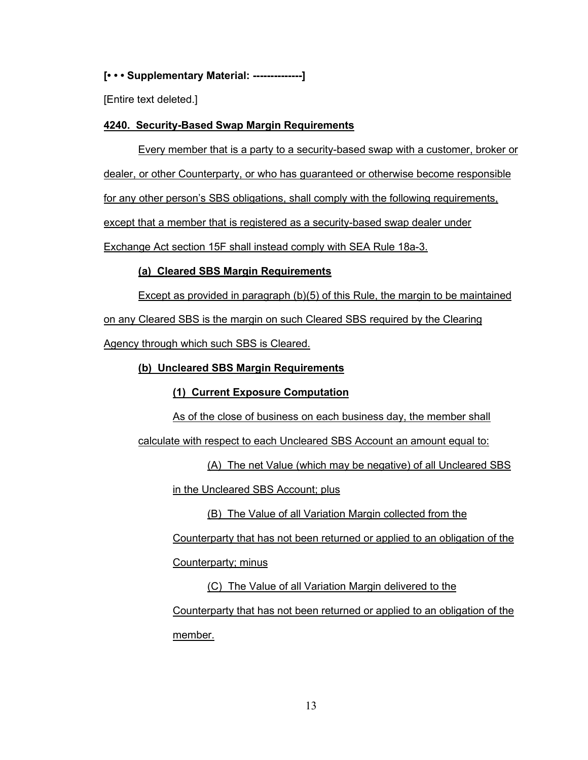# **[• • • Supplementary Material: --------------]**

[Entire text deleted.]

# **4240. Security-Based Swap Margin Requirements**

Every member that is a party to a security-based swap with a customer, broker or

dealer, or other Counterparty, or who has guaranteed or otherwise become responsible

for any other person's SBS obligations, shall comply with the following requirements,

except that a member that is registered as a security-based swap dealer under

Exchange Act section 15F shall instead comply with SEA Rule 18a-3.

# **(a) Cleared SBS Margin Requirements**

Except as provided in paragraph [\(b\)\(5\)](#page-19-0) of this Rule, the margin to be maintained

on any Cleared SBS is the margin on such Cleared SBS required by the Clearing

Agency through which such SBS is Cleared.

# <span id="page-12-0"></span>**(b) Uncleared SBS Margin Requirements**

# **(1) Current Exposure Computation**

As of the close of business on each business day, the member shall

calculate with respect to each Uncleared SBS Account an amount equal to:

(A) The net Value (which may be negative) of all Uncleared SBS

in the Uncleared SBS Account; plus

(B) The Value of all Variation Margin collected from the

Counterparty that has not been returned or applied to an obligation of the

Counterparty; minus

(C) The Value of all Variation Margin delivered to the Counterparty that has not been returned or applied to an obligation of the member.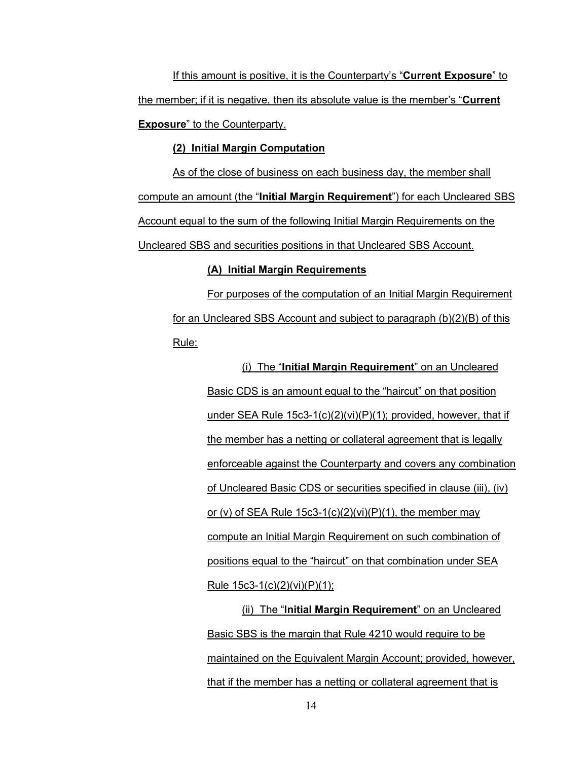If this amount is positive, it is the Counterparty's "**Current Exposure**" to the member; if it is negative, then its absolute value is the member's "**Current Exposure**" to the Counterparty.

### **(2) Initial Margin Computation**

As of the close of business on each business day, the member shall compute an amount (the "**Initial Margin Requirement**") for each Uncleared SBS Account equal to the sum of the following Initial Margin Requirements on the Uncleared SBS and securities positions in that Uncleared SBS Account.

## **(A) Initial Margin Requirements**

<span id="page-13-2"></span><span id="page-13-0"></span>For purposes of the computation of an Initial Margin Requirement for an Uncleared SBS Account and subject to paragraph (b)(2[\)\(B\)](#page-14-0) of this Rule:

> (i) The "**Initial Margin Requirement**" on an Uncleared Basic CDS is an amount equal to the "haircut" on that position under SEA Rule 15c3-1(c)(2)(vi)(P)(1); provided, however, that if the member has a netting or collateral agreement that is legally enforceable against the Counterparty and covers any combination of Uncleared Basic CDS or securities specified in clause (iii), (iv) or (v) of SEA Rule  $15c3-1(c)(2)(vi)(P)(1)$ , the member may compute an Initial Margin Requirement on such combination of positions equal to the "haircut" on that combination under SEA Rule 15c3-1(c)(2)(vi)(P)(1);

> <span id="page-13-1"></span>(ii) The "**Initial Margin Requirement**" on an Uncleared Basic SBS is the margin that Rule 4210 would require to be maintained on the Equivalent Margin Account; provided, however, that if the member has a netting or collateral agreement that is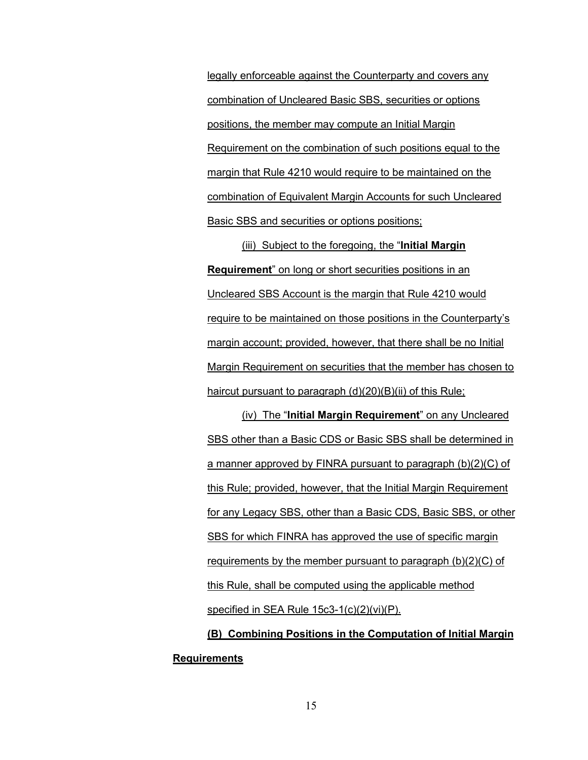legally enforceable against the Counterparty and covers any combination of Uncleared Basic SBS, securities or options positions, the member may compute an Initial Margin Requirement on the combination of such positions equal to the margin that Rule 4210 would require to be maintained on the combination of Equivalent Margin Accounts for such Uncleared Basic SBS and securities or options positions;

(iii) Subject to the foregoing, the "**Initial Margin Requirement**" on long or short securities positions in an Uncleared SBS Account is the margin that Rule 4210 would require to be maintained on those positions in the Counterparty's margin account; provided, however, that there shall be no Initial Margin Requirement on securities that the member has chosen to haircut pursuant to paragraph [\(d\)\(20\)\(B\)\(ii\)](#page-29-0) of this Rule;

(iv) The "**Initial Margin Requirement**" on any Uncleared SBS other than a Basic CDS or Basic SBS shall be determined in a manner approved by FINRA pursuant to paragraph (b)(2[\)\(C\)](#page-15-0) of this Rule; provided, however, that the Initial Margin Requirement for any Legacy SBS, other than a Basic CDS, Basic SBS, or other SBS for which FINRA has approved the use of specific margin requirements by the member pursuant to paragraph (b)(2)(C) of this Rule, shall be computed using the applicable method specified in SEA Rule 15c3-1(c)(2)(vi)(P).

<span id="page-14-0"></span>**(B) Combining Positions in the Computation of Initial Margin Requirements**

15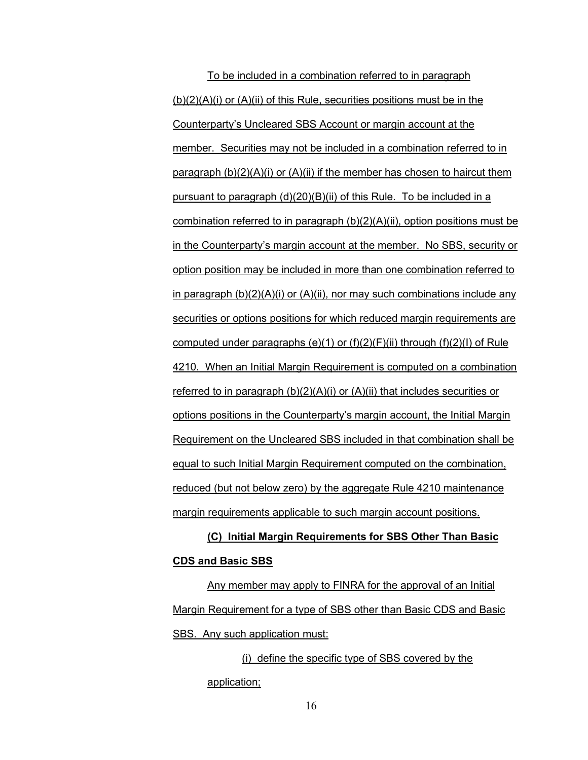To be included in a combination referred to in paragraph  $(b)(2)(A)(i)$  $(b)(2)(A)(i)$  or  $(A)(ii)$  of this Rule, securities positions must be in the Counterparty's Uncleared SBS Account or margin account at the member. Securities may not be included in a combination referred to in paragraph  $(b)(2)(A)(i)$  $(b)(2)(A)(i)$  or  $(A)(ii)$  if the member has chosen to haircut them pursuant to paragraph [\(d\)\(20\)\(B\)\(ii\)](#page-29-0) of this Rule. To be included in a combination referred to in paragraph (b)(2[\)\(A\)\(ii\),](#page-13-1) option positions must be in the Counterparty's margin account at the member. No SBS, security or option position may be included in more than one combination referred to in paragraph  $(b)(2)(A)(i)$  $(b)(2)(A)(i)$  or  $(A)(ii)$ , nor may such combinations include any securities or options positions for which reduced margin requirements are computed under paragraphs (e)(1) or  $(f)(2)(F)(ii)$  through  $(f)(2)(I)$  of Rule 4210. When an Initial Margin Requirement is computed on a combination referred to in paragraph (b)(2[\)\(A\)\(i\)](#page-13-0) or [\(A\)\(ii\)](#page-13-1) that includes securities or options positions in the Counterparty's margin account, the Initial Margin Requirement on the Uncleared SBS included in that combination shall be equal to such Initial Margin Requirement computed on the combination, reduced (but not below zero) by the aggregate Rule 4210 maintenance margin requirements applicable to such margin account positions.

# <span id="page-15-0"></span>**(C) Initial Margin Requirements for SBS Other Than Basic CDS and Basic SBS**

Any member may apply to FINRA for the approval of an Initial Margin Requirement for a type of SBS other than Basic CDS and Basic SBS. Any such application must:

> (i) define the specific type of SBS covered by the application;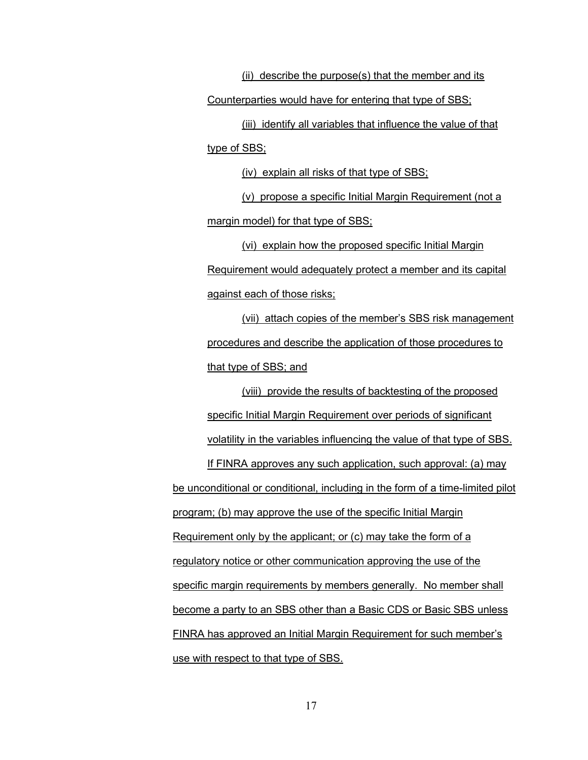(ii) describe the purpose(s) that the member and its Counterparties would have for entering that type of SBS; (iii) identify all variables that influence the value of that

type of SBS;

(iv) explain all risks of that type of SBS;

(v) propose a specific Initial Margin Requirement (not a margin model) for that type of SBS;

(vi) explain how the proposed specific Initial Margin Requirement would adequately protect a member and its capital against each of those risks;

(vii) attach copies of the member's SBS risk management procedures and describe the application of those procedures to that type of SBS; and

(viii) provide the results of backtesting of the proposed specific Initial Margin Requirement over periods of significant volatility in the variables influencing the value of that type of SBS. If FINRA approves any such application, such approval: (a) may be unconditional or conditional, including in the form of a time-limited pilot program; (b) may approve the use of the specific Initial Margin Requirement only by the applicant; or (c) may take the form of a regulatory notice or other communication approving the use of the specific margin requirements by members generally. No member shall become a party to an SBS other than a Basic CDS or Basic SBS unless FINRA has approved an Initial Margin Requirement for such member's use with respect to that type of SBS.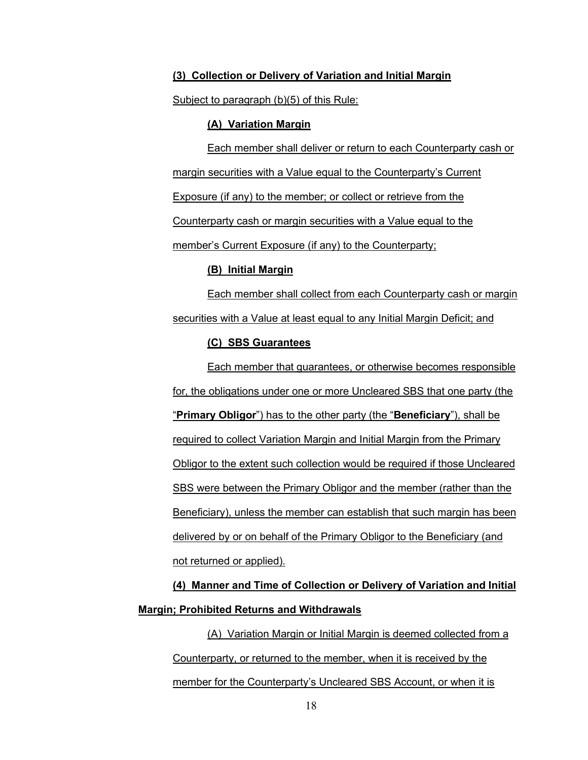#### <span id="page-17-0"></span>**(3) Collection or Delivery of Variation and Initial Margin**

<span id="page-17-1"></span>Subject to paragraph (b[\)\(5\)](#page-19-0) of this Rule:

#### **(A) Variation Margin**

Each member shall deliver or return to each Counterparty cash or margin securities with a Value equal to the Counterparty's Current Exposure (if any) to the member; or collect or retrieve from the Counterparty cash or margin securities with a Value equal to the member's Current Exposure (if any) to the Counterparty;

#### **(B) Initial Margin**

<span id="page-17-2"></span>Each member shall collect from each Counterparty cash or margin securities with a Value at least equal to any Initial Margin Deficit; and

# **(C) SBS Guarantees**

Each member that guarantees, or otherwise becomes responsible for, the obligations under one or more Uncleared SBS that one party (the "**Primary Obligor**") has to the other party (the "**Beneficiary**"), shall be required to collect Variation Margin and Initial Margin from the Primary Obligor to the extent such collection would be required if those Uncleared SBS were between the Primary Obligor and the member (rather than the Beneficiary), unless the member can establish that such margin has been delivered by or on behalf of the Primary Obligor to the Beneficiary (and not returned or applied).

**(4) Manner and Time of Collection or Delivery of Variation and Initial Margin; Prohibited Returns and Withdrawals**

(A) Variation Margin or Initial Margin is deemed collected from a Counterparty, or returned to the member, when it is received by the member for the Counterparty's Uncleared SBS Account, or when it is

18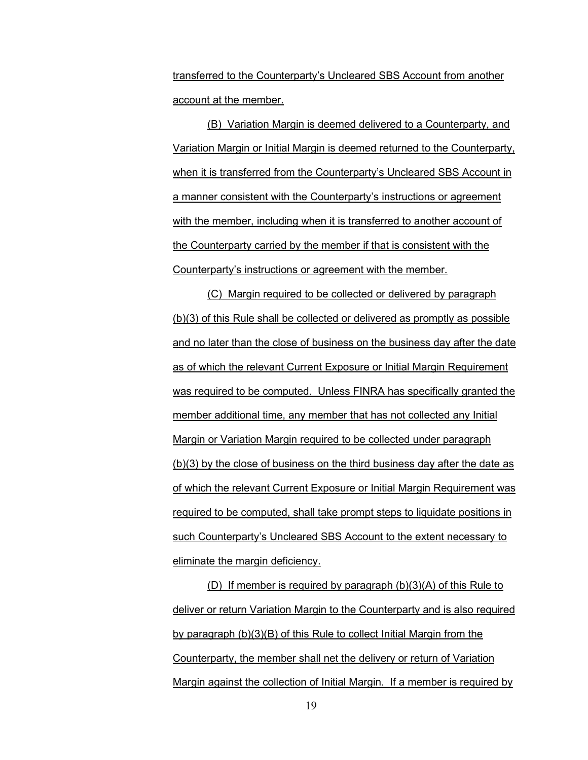transferred to the Counterparty's Uncleared SBS Account from another account at the member.

(B) Variation Margin is deemed delivered to a Counterparty, and Variation Margin or Initial Margin is deemed returned to the Counterparty, when it is transferred from the Counterparty's Uncleared SBS Account in a manner consistent with the Counterparty's instructions or agreement with the member, including when it is transferred to another account of the Counterparty carried by the member if that is consistent with the Counterparty's instructions or agreement with the member.

(C) Margin required to be collected or delivered by paragraph (b[\)\(3\)](#page-17-0) of this Rule shall be collected or delivered as promptly as possible and no later than the close of business on the business day after the date as of which the relevant Current Exposure or Initial Margin Requirement was required to be computed. Unless FINRA has specifically granted the member additional time, any member that has not collected any Initial Margin or Variation Margin required to be collected under paragraph (b[\)\(3\)](#page-17-0) by the close of business on the third business day after the date as of which the relevant Current Exposure or Initial Margin Requirement was required to be computed, shall take prompt steps to liquidate positions in such Counterparty's Uncleared SBS Account to the extent necessary to eliminate the margin deficiency.

(D) If member is required by paragraph (b[\)\(3\)\(A\)](#page-17-1) of this Rule to deliver or return Variation Margin to the Counterparty and is also required by paragraph (b[\)\(3\)\(B\)](#page-17-2) of this Rule to collect Initial Margin from the Counterparty, the member shall net the delivery or return of Variation Margin against the collection of Initial Margin. If a member is required by

19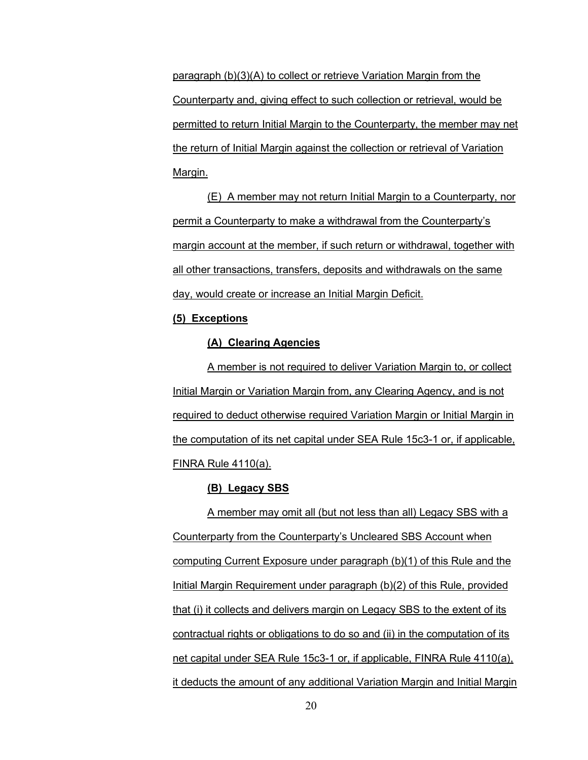paragraph (b[\)\(3\)\(A\)](#page-17-1) to collect or retrieve Variation Margin from the Counterparty and, giving effect to such collection or retrieval, would be permitted to return Initial Margin to the Counterparty, the member may net the return of Initial Margin against the collection or retrieval of Variation Margin.

(E) A member may not return Initial Margin to a Counterparty, nor permit a Counterparty to make a withdrawal from the Counterparty's margin account at the member, if such return or withdrawal, together with all other transactions, transfers, deposits and withdrawals on the same day, would create or increase an Initial Margin Deficit.

#### <span id="page-19-0"></span>**(5) Exceptions**

# **(A) Clearing Agencies**

A member is not required to deliver Variation Margin to, or collect Initial Margin or Variation Margin from, any Clearing Agency, and is not required to deduct otherwise required Variation Margin or Initial Margin in the computation of its net capital under SEA Rule 15c3-1 or, if applicable, FINRA Rule 4110(a).

#### **(B) Legacy SBS**

A member may omit all (but not less than all) Legacy SBS with a Counterparty from the Counterparty's Uncleared SBS Account when computing Current Exposure under paragraph (b)(1) of this Rule and the Initial Margin Requirement under paragraph (b)(2) of this Rule, provided that (i) it collects and delivers margin on Legacy SBS to the extent of its contractual rights or obligations to do so and (ii) in the computation of its net capital under SEA Rule 15c3-1 or, if applicable, FINRA Rule 4110(a), it deducts the amount of any additional Variation Margin and Initial Margin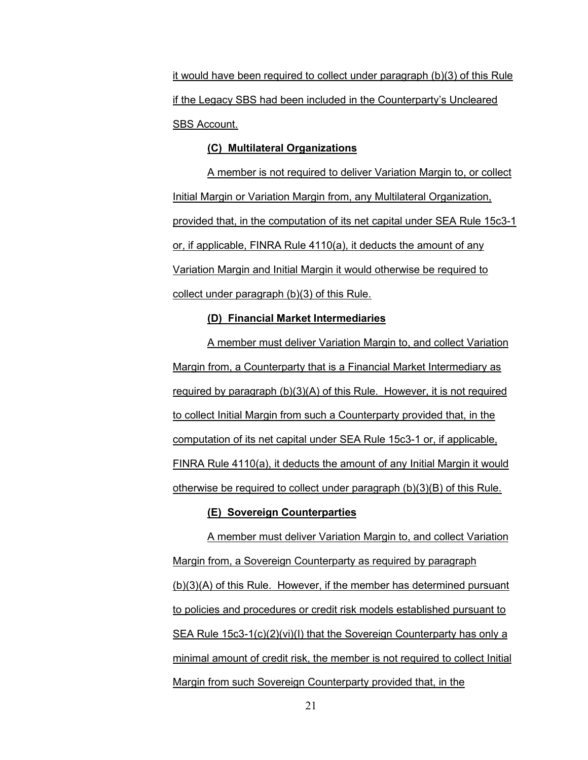it would have been required to collect under paragraph (b)(3) of this Rule if the Legacy SBS had been included in the Counterparty's Uncleared SBS Account.

## **(C) Multilateral Organizations**

A member is not required to deliver Variation Margin to, or collect Initial Margin or Variation Margin from, any Multilateral Organization, provided that, in the computation of its net capital under SEA Rule 15c3-1 or, if applicable, FINRA Rule 4110(a), it deducts the amount of any Variation Margin and Initial Margin it would otherwise be required to collect under paragraph (b[\)\(3\)](#page-17-0) of this Rule.

#### **(D) Financial Market Intermediaries**

A member must deliver Variation Margin to, and collect Variation Margin from, a Counterparty that is a Financial Market Intermediary as required by paragraph (b[\)\(3\)\(A\)](#page-17-1) of this Rule. However, it is not required to collect Initial Margin from such a Counterparty provided that, in the computation of its net capital under SEA Rule 15c3-1 or, if applicable, FINRA Rule 4110(a), it deducts the amount of any Initial Margin it would otherwise be required to collect under paragraph (b[\)\(3\)\(B\)](#page-17-2) of this Rule.

## **(E) Sovereign Counterparties**

A member must deliver Variation Margin to, and collect Variation Margin from, a Sovereign Counterparty as required by paragraph (b[\)\(3\)\(A\)](#page-17-1) of this Rule. However, if the member has determined pursuant to policies and procedures or credit risk models established pursuant to SEA Rule 15c3-1(c)(2)(vi)(I) that the Sovereign Counterparty has only a minimal amount of credit risk, the member is not required to collect Initial Margin from such Sovereign Counterparty provided that, in the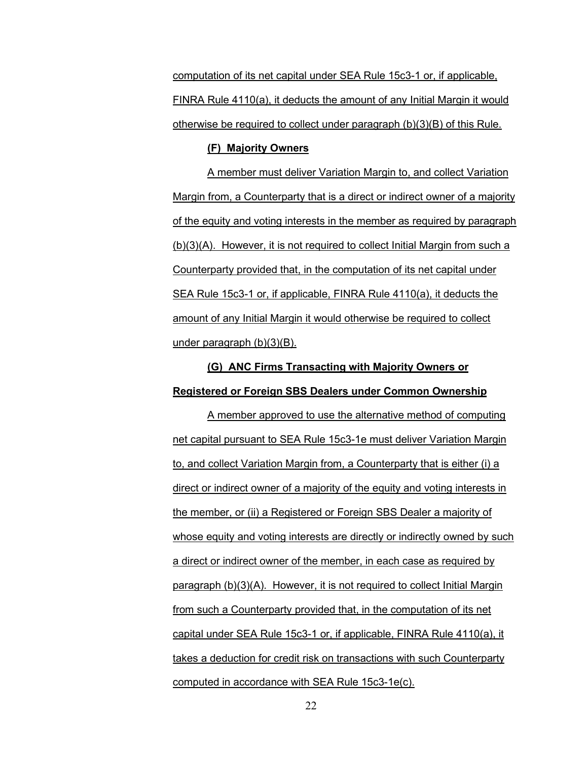computation of its net capital under SEA Rule 15c3-1 or, if applicable, FINRA Rule 4110(a), it deducts the amount of any Initial Margin it would otherwise be required to collect under paragraph (b[\)\(3\)\(B\)](#page-17-2) of this Rule.

#### **(F) Majority Owners**

A member must deliver Variation Margin to, and collect Variation Margin from, a Counterparty that is a direct or indirect owner of a majority of the equity and voting interests in the member as required by paragraph (b)(3)(A). However, it is not required to collect Initial Margin from such a Counterparty provided that, in the computation of its net capital under SEA Rule 15c3-1 or, if applicable, FINRA Rule 4110(a), it deducts the amount of any Initial Margin it would otherwise be required to collect under paragraph (b)(3)(B).

# **(G) ANC Firms Transacting with Majority Owners or Registered or Foreign SBS Dealers under Common Ownership**

A member approved to use the alternative method of computing net capital pursuant to SEA Rule 15c3-1e must deliver Variation Margin to, and collect Variation Margin from, a Counterparty that is either (i) a direct or indirect owner of a majority of the equity and voting interests in the member, or (ii) a Registered or Foreign SBS Dealer a majority of whose equity and voting interests are directly or indirectly owned by such a direct or indirect owner of the member, in each case as required by paragraph (b)(3)(A). However, it is not required to collect Initial Margin from such a Counterparty provided that, in the computation of its net capital under SEA Rule 15c3-1 or, if applicable, FINRA Rule 4110(a), it takes a deduction for credit risk on transactions with such Counterparty computed in accordance with SEA Rule 15c3-1e(c).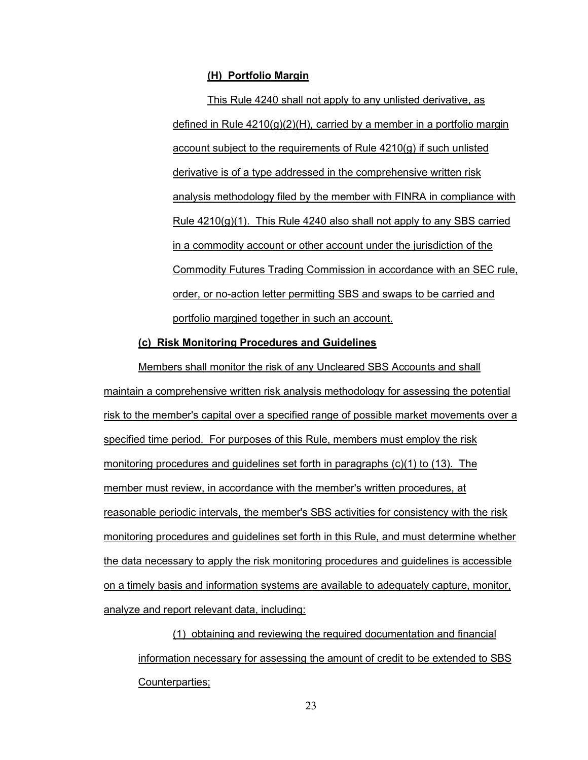#### **(H) Portfolio Margin**

This Rule 4240 shall not apply to any unlisted derivative, as defined in Rule 4210(g)(2)(H), carried by a member in a portfolio margin account subject to the requirements of Rule 4210(g) if such unlisted derivative is of a type addressed in the comprehensive written risk analysis methodology filed by the member with FINRA in compliance with Rule 4210(g)(1). This Rule 4240 also shall not apply to any SBS carried in a commodity account or other account under the jurisdiction of the Commodity Futures Trading Commission in accordance with an SEC rule, order, or no-action letter permitting SBS and swaps to be carried and portfolio margined together in such an account.

### **(c) Risk Monitoring Procedures and Guidelines**

Members shall monitor the risk of any Uncleared SBS Accounts and shall maintain a comprehensive written risk analysis methodology for assessing the potential risk to the member's capital over a specified range of possible market movements over a specified time period. For purposes of this Rule, members must employ the risk monitoring procedures and guidelines set forth in paragraphs (c[\)\(1\)](#page-22-0) to [\(13\).](#page-24-0) The member must review, in accordance with the member's written procedures, at reasonable periodic intervals, the member's SBS activities for consistency with the risk monitoring procedures and guidelines set forth in this Rule, and must determine whether the data necessary to apply the risk monitoring procedures and guidelines is accessible on a timely basis and information systems are available to adequately capture, monitor, analyze and report relevant data, including:

<span id="page-22-0"></span>(1) obtaining and reviewing the required documentation and financial information necessary for assessing the amount of credit to be extended to SBS Counterparties;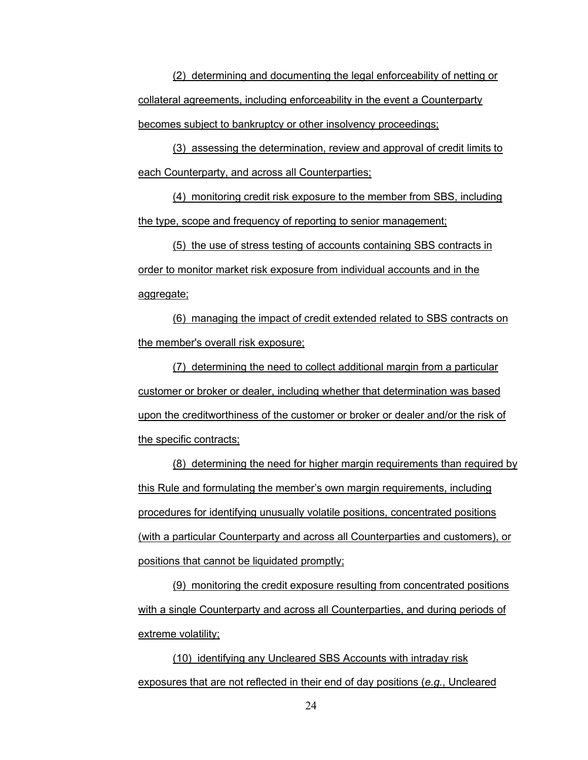(2) determining and documenting the legal enforceability of netting or collateral agreements, including enforceability in the event a Counterparty becomes subject to bankruptcy or other insolvency proceedings;

(3) assessing the determination, review and approval of credit limits to each Counterparty, and across all Counterparties;

(4) monitoring credit risk exposure to the member from SBS, including the type, scope and frequency of reporting to senior management;

(5) the use of stress testing of accounts containing SBS contracts in order to monitor market risk exposure from individual accounts and in the aggregate;

(6) managing the impact of credit extended related to SBS contracts on the member's overall risk exposure;

(7) determining the need to collect additional margin from a particular customer or broker or dealer, including whether that determination was based upon the creditworthiness of the customer or broker or dealer and/or the risk of the specific contracts;

(8) determining the need for higher margin requirements than required by this Rule and formulating the member's own margin requirements, including procedures for identifying unusually volatile positions, concentrated positions (with a particular Counterparty and across all Counterparties and customers), or positions that cannot be liquidated promptly;

(9) monitoring the credit exposure resulting from concentrated positions with a single Counterparty and across all Counterparties, and during periods of extreme volatility;

(10) identifying any Uncleared SBS Accounts with intraday risk exposures that are not reflected in their end of day positions (*e.g.*, Uncleared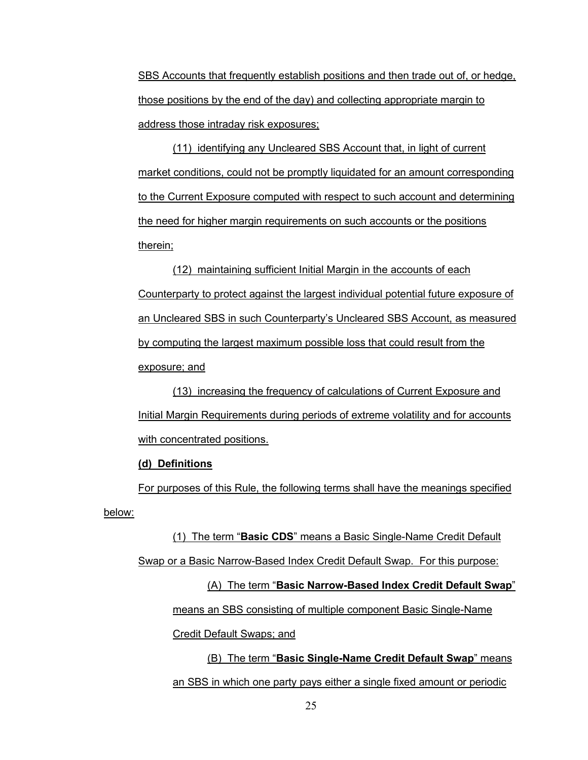SBS Accounts that frequently establish positions and then trade out of, or hedge, those positions by the end of the day) and collecting appropriate margin to address those intraday risk exposures;

(11) identifying any Uncleared SBS Account that, in light of current market conditions, could not be promptly liquidated for an amount corresponding to the Current Exposure computed with respect to such account and determining the need for higher margin requirements on such accounts or the positions therein;

(12) maintaining sufficient Initial Margin in the accounts of each Counterparty to protect against the largest individual potential future exposure of an Uncleared SBS in such Counterparty's Uncleared SBS Account, as measured by computing the largest maximum possible loss that could result from the exposure; and

<span id="page-24-0"></span>(13) increasing the frequency of calculations of Current Exposure and Initial Margin Requirements during periods of extreme volatility and for accounts with concentrated positions.

# **(d) Definitions**

For purposes of this Rule, the following terms shall have the meanings specified below:

(1) The term "**Basic CDS**" means a Basic Single-Name Credit Default Swap or a Basic Narrow-Based Index Credit Default Swap. For this purpose: (A) The term "**Basic Narrow-Based Index Credit Default Swap**" means an SBS consisting of multiple component Basic Single-Name Credit Default Swaps; and (B) The term "**Basic Single-Name Credit Default Swap**" means

an SBS in which one party pays either a single fixed amount or periodic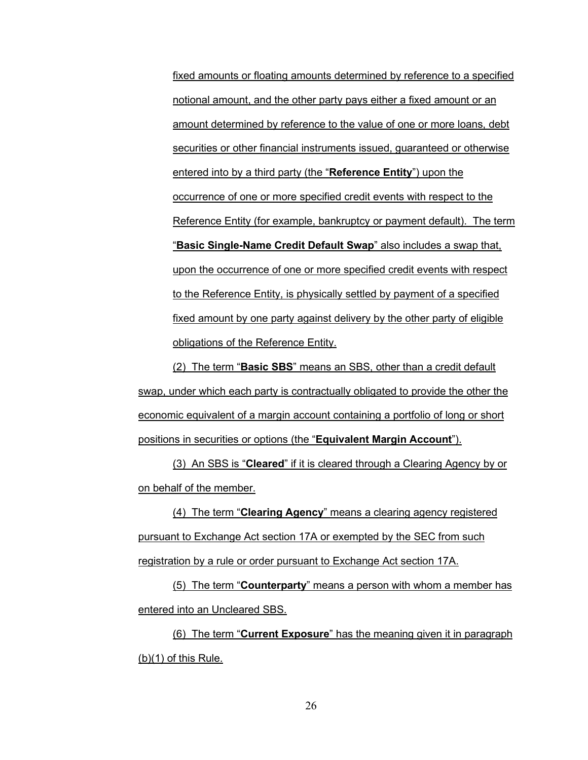fixed amounts or floating amounts determined by reference to a specified notional amount, and the other party pays either a fixed amount or an amount determined by reference to the value of one or more loans, debt securities or other financial instruments issued, guaranteed or otherwise entered into by a third party (the "**Reference Entity**") upon the occurrence of one or more specified credit events with respect to the Reference Entity (for example, bankruptcy or payment default). The term "**Basic Single-Name Credit Default Swap**" also includes a swap that, upon the occurrence of one or more specified credit events with respect to the Reference Entity, is physically settled by payment of a specified fixed amount by one party against delivery by the other party of eligible obligations of the Reference Entity.

<span id="page-25-0"></span>(2) The term "**Basic SBS**" means an SBS, other than a credit default swap, under which each party is contractually obligated to provide the other the economic equivalent of a margin account containing a portfolio of long or short positions in securities or options (the "**Equivalent Margin Account**").

(3) An SBS is "**Cleared**" if it is cleared through a Clearing Agency by or on behalf of the member.

(4) The term "**Clearing Agency**" means a clearing agency registered pursuant to Exchange Act section 17A or exempted by the SEC from such registration by a rule or order pursuant to Exchange Act section 17A.

(5) The term "**Counterparty**" means a person with whom a member has entered into an Uncleared SBS.

(6) The term "**Current Exposure**" has the meaning given it in paragraph  $(b)(1)$  of this Rule.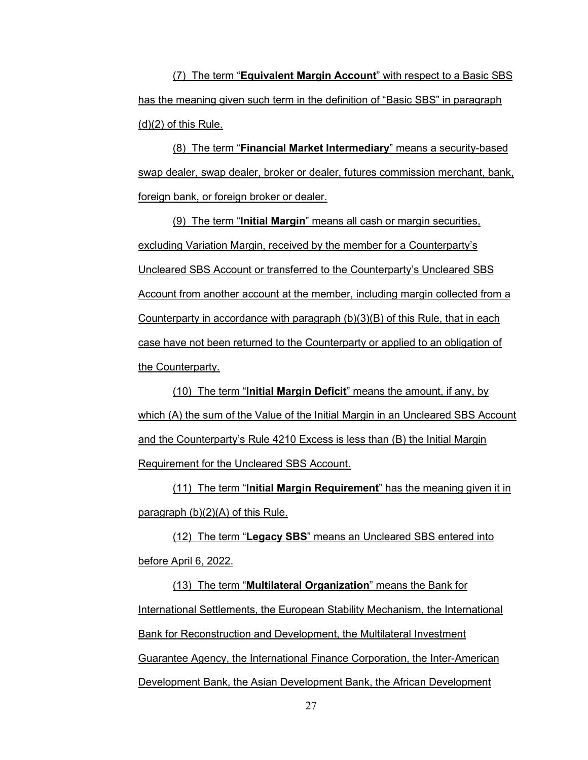(7) The term "**Equivalent Margin Account**" with respect to a Basic SBS has the meaning given such term in the definition of "Basic SBS" in paragraph  $(d)(2)$  $(d)(2)$  of this Rule.

(8) The term "**Financial Market Intermediary**" means a security-based swap dealer, swap dealer, broker or dealer, futures commission merchant, bank, foreign bank, or foreign broker or dealer.

(9) The term "**Initial Margin**" means all cash or margin securities, excluding Variation Margin, received by the member for a Counterparty's Uncleared SBS Account or transferred to the Counterparty's Uncleared SBS Account from another account at the member, including margin collected from a Counterparty in accordance with paragraph  $(b)(3)(B)$  of this Rule, that in each case have not been returned to the Counterparty or applied to an obligation of the Counterparty.

(10) The term "**Initial Margin Deficit**" means the amount, if any, by which (A) the sum of the Value of the Initial Margin in an Uncleared SBS Account and the Counterparty's Rule 4210 Excess is less than (B) the Initial Margin Requirement for the Uncleared SBS Account.

(11) The term "**Initial Margin Requirement**" has the meaning given it in paragraph [\(b\)\(2\)\(A\)](#page-13-2) of this Rule.

(12) The term "**Legacy SBS**" means an Uncleared SBS entered into before April 6, 2022.

(13) The term "**Multilateral Organization**" means the Bank for International Settlements, the European Stability Mechanism, the International Bank for Reconstruction and Development, the Multilateral Investment Guarantee Agency, the International Finance Corporation, the Inter-American Development Bank, the Asian Development Bank, the African Development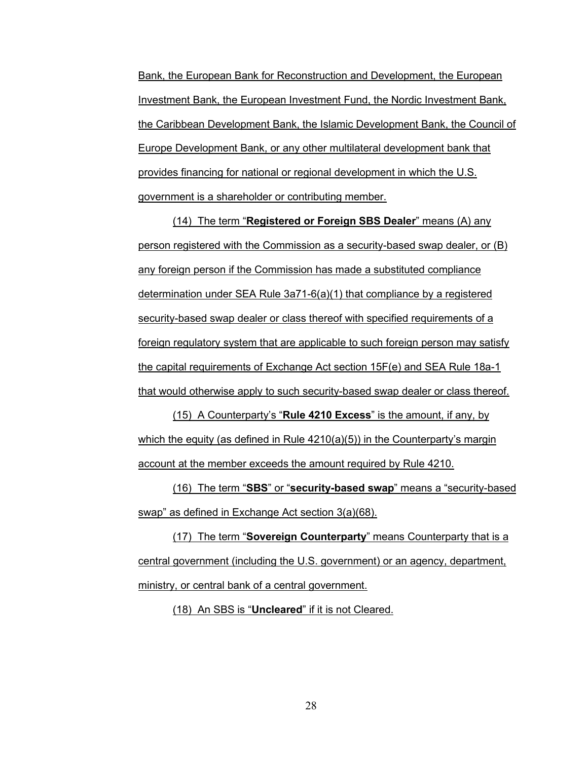Bank, the European Bank for Reconstruction and Development, the European Investment Bank, the European Investment Fund, the Nordic Investment Bank, the Caribbean Development Bank, the Islamic Development Bank, the Council of Europe Development Bank, or any other multilateral development bank that provides financing for national or regional development in which the U.S. government is a shareholder or contributing member.

(14) The term "**Registered or Foreign SBS Dealer**" means (A) any person registered with the Commission as a security-based swap dealer, or (B) any foreign person if the Commission has made a substituted compliance determination under SEA Rule 3a71-6(a)(1) that compliance by a registered security-based swap dealer or class thereof with specified requirements of a foreign regulatory system that are applicable to such foreign person may satisfy the capital requirements of Exchange Act section 15F(e) and SEA Rule 18a-1 that would otherwise apply to such security-based swap dealer or class thereof.

(15) A Counterparty's "**Rule 4210 Excess**" is the amount, if any, by which the equity (as defined in Rule  $4210(a)(5)$ ) in the Counterparty's margin account at the member exceeds the amount required by Rule 4210.

(16) The term "**SBS**" or "**security-based swap**" means a "security-based swap" as defined in Exchange Act section 3(a)(68).

(17) The term "**Sovereign Counterparty**" means Counterparty that is a central government (including the U.S. government) or an agency, department, ministry, or central bank of a central government.

(18) An SBS is "**Uncleared**" if it is not Cleared.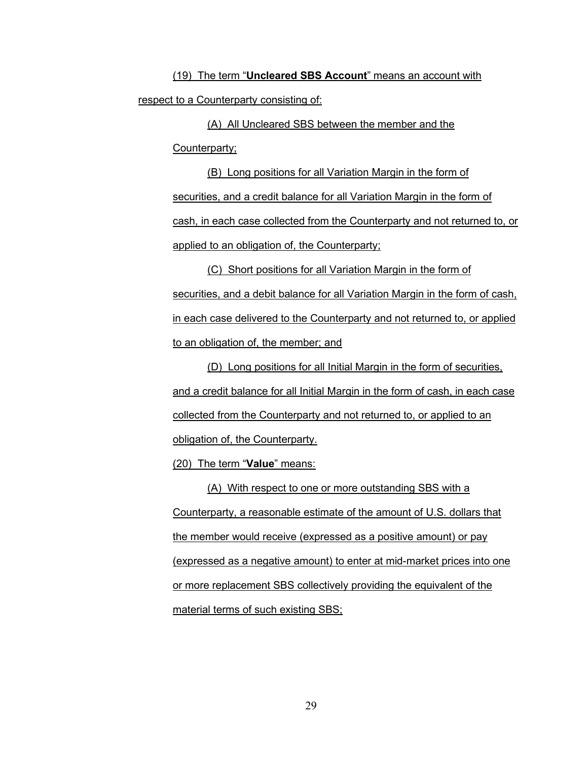(19) The term "**Uncleared SBS Account**" means an account with respect to a Counterparty consisting of:

(A) All Uncleared SBS between the member and the Counterparty;

(B) Long positions for all Variation Margin in the form of securities, and a credit balance for all Variation Margin in the form of cash, in each case collected from the Counterparty and not returned to, or applied to an obligation of, the Counterparty;

(C) Short positions for all Variation Margin in the form of securities, and a debit balance for all Variation Margin in the form of cash, in each case delivered to the Counterparty and not returned to, or applied to an obligation of, the member; and

(D) Long positions for all Initial Margin in the form of securities, and a credit balance for all Initial Margin in the form of cash, in each case collected from the Counterparty and not returned to, or applied to an obligation of, the Counterparty.

(20) The term "**Value**" means:

(A) With respect to one or more outstanding SBS with a Counterparty, a reasonable estimate of the amount of U.S. dollars that the member would receive (expressed as a positive amount) or pay (expressed as a negative amount) to enter at mid-market prices into one or more replacement SBS collectively providing the equivalent of the material terms of such existing SBS;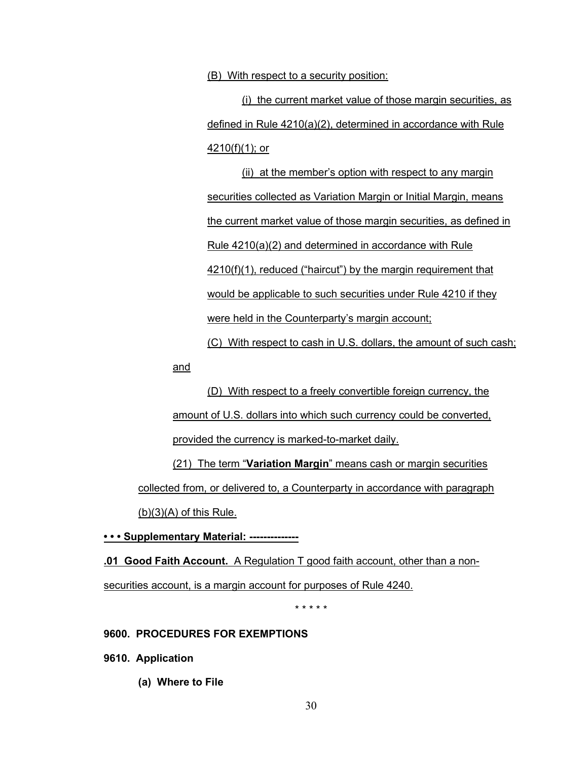(B) With respect to a security position:

(i) the current market value of those margin securities, as defined in Rule 4210(a)(2), determined in accordance with Rule 4210(f)(1); or

<span id="page-29-0"></span>(ii) at the member's option with respect to any margin securities collected as Variation Margin or Initial Margin, means the current market value of those margin securities, as defined in Rule 4210(a)(2) and determined in accordance with Rule 4210(f)(1), reduced ("haircut") by the margin requirement that would be applicable to such securities under Rule 4210 if they were held in the Counterparty's margin account;

(C) With respect to cash in U.S. dollars, the amount of such cash;

and

(D) With respect to a freely convertible foreign currency, the amount of U.S. dollars into which such currency could be converted, provided the currency is marked-to-market daily.

(21) The term "**Variation Margin**" means cash or margin securities collected from, or delivered to, a Counterparty in accordance with paragraph  $(b)(3)(A)$  of this Rule.

**• • • Supplementary Material: --------------**

**.01 Good Faith Account.** A Regulation T good faith account, other than a nonsecurities account, is a margin account for purposes of Rule 4240.

\* \* \* \* \*

#### **9600. PROCEDURES FOR EXEMPTIONS**

**9610. Application**

**(a) Where to File**